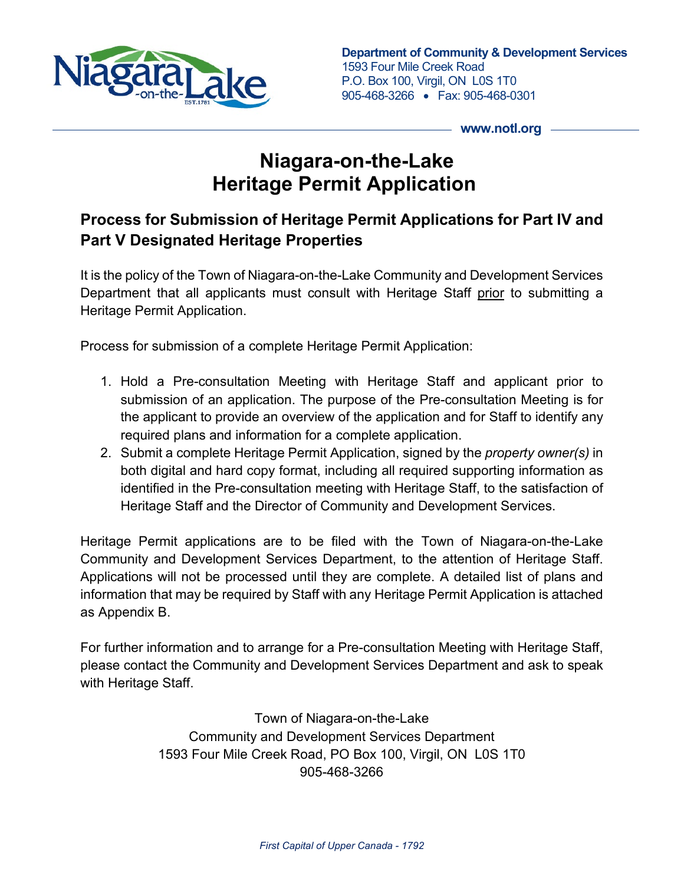

**Department of Community & Development Services** 1593 Four Mile Creek Road P.O. Box 100, Virgil, ON L0S 1T0 905-468-3266 • Fax: 905-468-0301

**www.notl.org**

# **Niagara-on-the-Lake Heritage Permit Application**

### **Process for Submission of Heritage Permit Applications for Part IV and Part V Designated Heritage Properties**

It is the policy of the Town of Niagara-on-the-Lake Community and Development Services Department that all applicants must consult with Heritage Staff prior to submitting a Heritage Permit Application.

Process for submission of a complete Heritage Permit Application:

- 1. Hold a Pre-consultation Meeting with Heritage Staff and applicant prior to submission of an application. The purpose of the Pre-consultation Meeting is for the applicant to provide an overview of the application and for Staff to identify any required plans and information for a complete application.
- 2. Submit a complete Heritage Permit Application, signed by the *property owner(s)* in both digital and hard copy format, including all required supporting information as identified in the Pre-consultation meeting with Heritage Staff, to the satisfaction of Heritage Staff and the Director of Community and Development Services.

Heritage Permit applications are to be filed with the Town of Niagara-on-the-Lake Community and Development Services Department, to the attention of Heritage Staff. Applications will not be processed until they are complete. A detailed list of plans and information that may be required by Staff with any Heritage Permit Application is attached as Appendix B.

For further information and to arrange for a Pre-consultation Meeting with Heritage Staff, please contact the Community and Development Services Department and ask to speak with Heritage Staff.

> Town of Niagara-on-the-Lake Community and Development Services Department 1593 Four Mile Creek Road, PO Box 100, Virgil, ON L0S 1T0 905-468-3266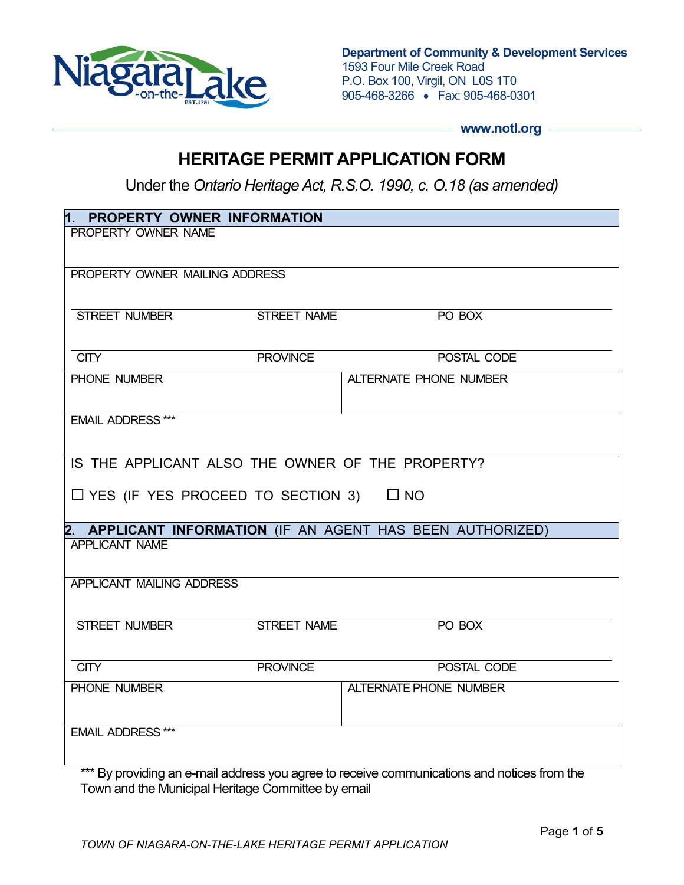

**Department of Community & Development Services** 1593 Four Mile Creek Road P.O. Box 100, Virgil, ON L0S 1T0 905-468-3266 • Fax: 905-468-0301

- www.notl.org -

### **HERITAGE PERMIT APPLICATION FORM**

Under the *Ontario Heritage Act, R.S.O. 1990, c. O.18 (as amended)* 

| 1. PROPERTY OWNER INFORMATION                              |                    |                               |  |  |
|------------------------------------------------------------|--------------------|-------------------------------|--|--|
| PROPERTY OWNER NAME                                        |                    |                               |  |  |
|                                                            |                    |                               |  |  |
| PROPERTY OWNER MAILING ADDRESS                             |                    |                               |  |  |
|                                                            |                    |                               |  |  |
| <b>STREET NUMBER</b>                                       | <b>STREET NAME</b> | PO BOX                        |  |  |
|                                                            |                    |                               |  |  |
| <b>CITY</b>                                                | <b>PROVINCE</b>    | POSTAL CODE                   |  |  |
| PHONE NUMBER                                               |                    | <b>ALTERNATE PHONE NUMBER</b> |  |  |
|                                                            |                    |                               |  |  |
| <b>EMAIL ADDRESS ***</b>                                   |                    |                               |  |  |
|                                                            |                    |                               |  |  |
| IS THE APPLICANT ALSO THE OWNER OF THE PROPERTY?           |                    |                               |  |  |
|                                                            |                    |                               |  |  |
| $\Box$ YES (IF YES PROCEED TO SECTION 3) $\Box$ NO         |                    |                               |  |  |
| 2. APPLICANT INFORMATION (IF AN AGENT HAS BEEN AUTHORIZED) |                    |                               |  |  |
| <b>APPLICANT NAME</b>                                      |                    |                               |  |  |
|                                                            |                    |                               |  |  |
| APPLICANT MAILING ADDRESS                                  |                    |                               |  |  |
|                                                            |                    |                               |  |  |
| <b>STREET NUMBER</b>                                       | <b>STREET NAME</b> | PO BOX                        |  |  |
|                                                            |                    |                               |  |  |
| CITY                                                       | <b>PROVINCE</b>    | POSTAL CODE                   |  |  |
| PHONE NUMBER                                               |                    | <b>ALTERNATE PHONE NUMBER</b> |  |  |
|                                                            |                    |                               |  |  |
| <b>EMAIL ADDRESS ***</b>                                   |                    |                               |  |  |
|                                                            |                    |                               |  |  |

\*\*\* By providing an e-mail address you agree to receive communications and notices from the Town and the Municipal Heritage Committee by email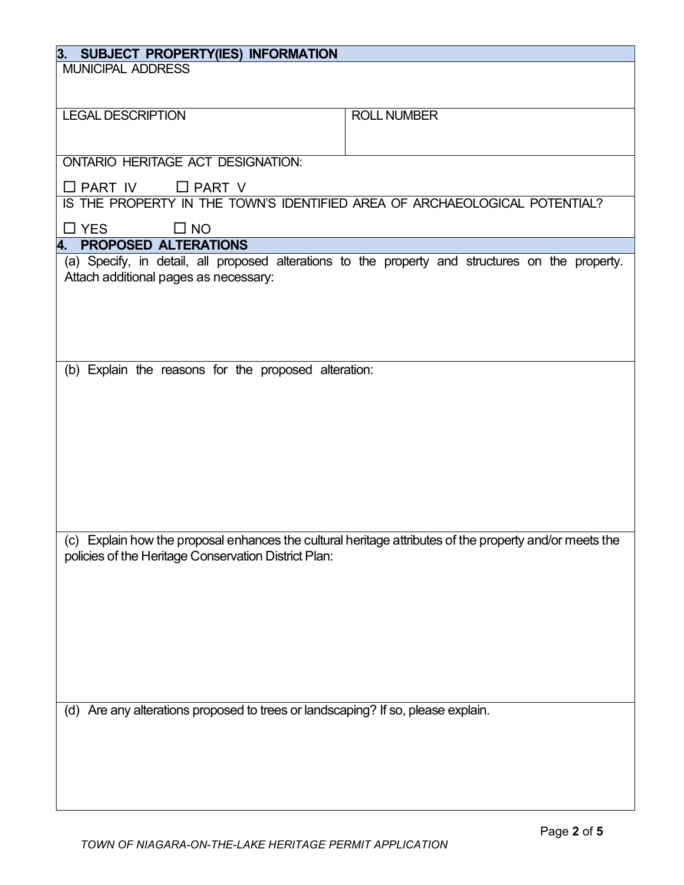| SUBJECT PROPERTY(IES) INFORMATION<br>3.                                                                                                                                                     |                    |  |  |  |
|---------------------------------------------------------------------------------------------------------------------------------------------------------------------------------------------|--------------------|--|--|--|
| <b>MUNICIPAL ADDRESS</b>                                                                                                                                                                    |                    |  |  |  |
|                                                                                                                                                                                             |                    |  |  |  |
| <b>LEGAL DESCRIPTION</b>                                                                                                                                                                    | <b>ROLL NUMBER</b> |  |  |  |
|                                                                                                                                                                                             |                    |  |  |  |
|                                                                                                                                                                                             |                    |  |  |  |
| <b>ONTARIO HERITAGE ACT DESIGNATION:</b>                                                                                                                                                    |                    |  |  |  |
| $\Box$ PART IV<br>$\Box$ PART V                                                                                                                                                             |                    |  |  |  |
| IS THE PROPERTY IN THE TOWN'S IDENTIFIED AREA OF ARCHAEOLOGICAL POTENTIAL?                                                                                                                  |                    |  |  |  |
| $\square$ YES<br>$\square$ NO                                                                                                                                                               |                    |  |  |  |
| 4. PROPOSED ALTERATIONS                                                                                                                                                                     |                    |  |  |  |
| (a) Specify, in detail, all proposed alterations to the property and structures on the property.                                                                                            |                    |  |  |  |
| Attach additional pages as necessary:                                                                                                                                                       |                    |  |  |  |
|                                                                                                                                                                                             |                    |  |  |  |
|                                                                                                                                                                                             |                    |  |  |  |
|                                                                                                                                                                                             |                    |  |  |  |
|                                                                                                                                                                                             |                    |  |  |  |
| (b) Explain the reasons for the proposed alteration:                                                                                                                                        |                    |  |  |  |
|                                                                                                                                                                                             |                    |  |  |  |
|                                                                                                                                                                                             |                    |  |  |  |
|                                                                                                                                                                                             |                    |  |  |  |
|                                                                                                                                                                                             |                    |  |  |  |
|                                                                                                                                                                                             |                    |  |  |  |
|                                                                                                                                                                                             |                    |  |  |  |
|                                                                                                                                                                                             |                    |  |  |  |
|                                                                                                                                                                                             |                    |  |  |  |
|                                                                                                                                                                                             |                    |  |  |  |
| policies of the Heritage Conservation District Plan:                                                                                                                                        |                    |  |  |  |
|                                                                                                                                                                                             |                    |  |  |  |
|                                                                                                                                                                                             |                    |  |  |  |
|                                                                                                                                                                                             |                    |  |  |  |
|                                                                                                                                                                                             |                    |  |  |  |
|                                                                                                                                                                                             |                    |  |  |  |
|                                                                                                                                                                                             |                    |  |  |  |
|                                                                                                                                                                                             |                    |  |  |  |
|                                                                                                                                                                                             |                    |  |  |  |
|                                                                                                                                                                                             |                    |  |  |  |
|                                                                                                                                                                                             |                    |  |  |  |
|                                                                                                                                                                                             |                    |  |  |  |
|                                                                                                                                                                                             |                    |  |  |  |
|                                                                                                                                                                                             |                    |  |  |  |
| (c) Explain how the proposal enhances the cultural heritage attributes of the property and/or meets the<br>(d) Are any alterations proposed to trees or landscaping? If so, please explain. |                    |  |  |  |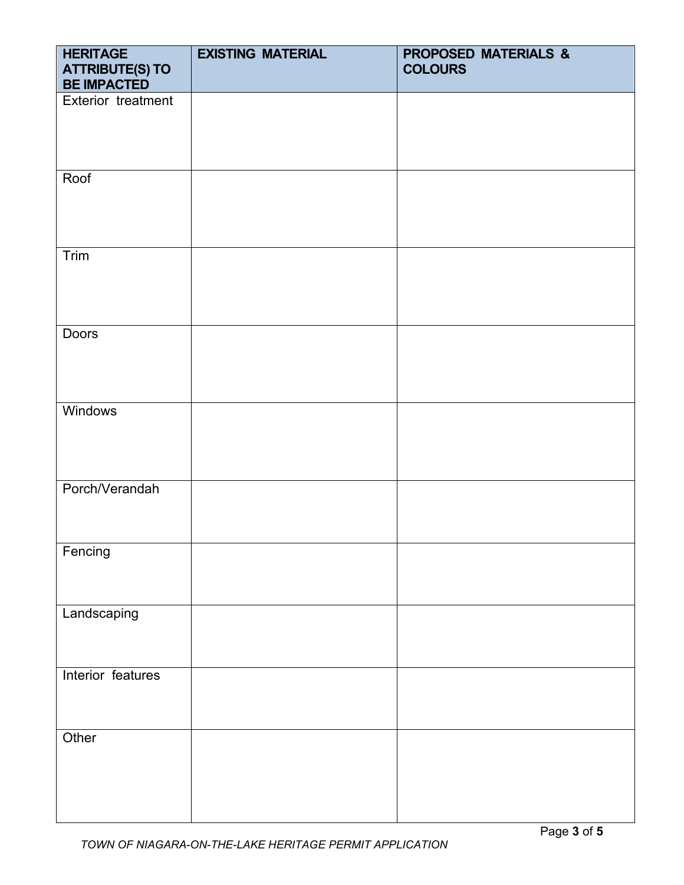| <b>HERITAGE</b><br><b>ATTRIBUTE(S) TO</b><br><b>BE IMPACTED</b> | <b>EXISTING MATERIAL</b> | <b>PROPOSED MATERIALS &amp;</b><br><b>COLOURS</b> |
|-----------------------------------------------------------------|--------------------------|---------------------------------------------------|
| Exterior treatment                                              |                          |                                                   |
|                                                                 |                          |                                                   |
|                                                                 |                          |                                                   |
| Roof                                                            |                          |                                                   |
|                                                                 |                          |                                                   |
|                                                                 |                          |                                                   |
| Trim                                                            |                          |                                                   |
|                                                                 |                          |                                                   |
| Doors                                                           |                          |                                                   |
|                                                                 |                          |                                                   |
|                                                                 |                          |                                                   |
| <b>Windows</b>                                                  |                          |                                                   |
|                                                                 |                          |                                                   |
|                                                                 |                          |                                                   |
| Porch/Verandah                                                  |                          |                                                   |
|                                                                 |                          |                                                   |
| Fencing                                                         |                          |                                                   |
|                                                                 |                          |                                                   |
| Landscaping                                                     |                          |                                                   |
|                                                                 |                          |                                                   |
| Interior features                                               |                          |                                                   |
|                                                                 |                          |                                                   |
| Other                                                           |                          |                                                   |
|                                                                 |                          |                                                   |
|                                                                 |                          |                                                   |
|                                                                 |                          |                                                   |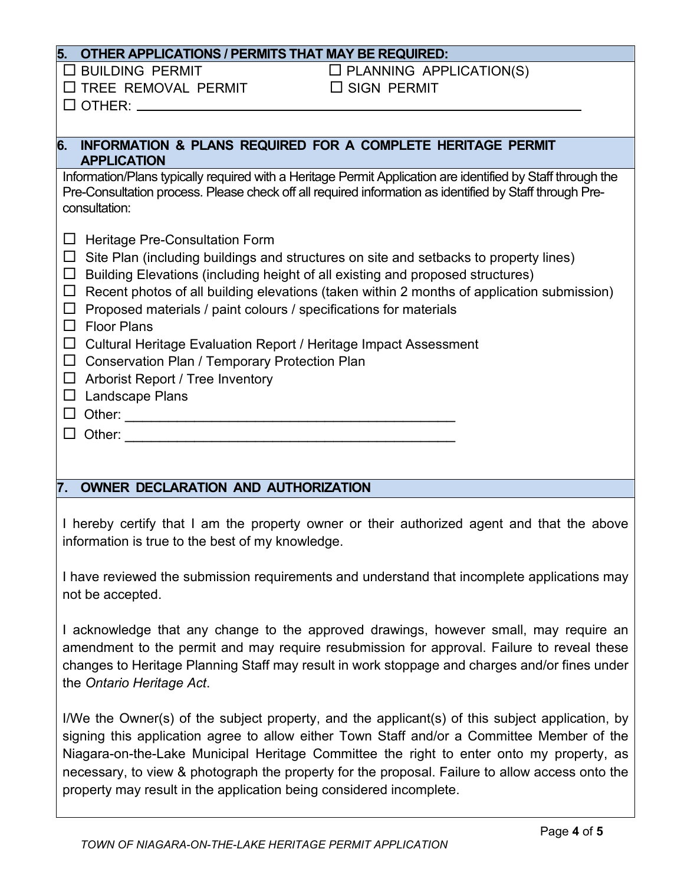#### **5. OTHER APPLICATIONS / PERMITS THAT MAY BE REQUIRED:**

 $\Box$  TREE REMOVAL PERMIT  $\Box$  SIGN PERMIT

 $\Box$  BUILDING PERMIT  $\Box$  PLANNING APPLICATION(S)

 $\Box$  OTHER:  $\_\_$ 

## **6. INFORMATION & PLANS REQUIRED FOR A COMPLETE HERITAGE PERMIT APPLICATION**

Information/Plans typically required with a Heritage Permit Application are identified by Staff through the Pre-Consultation process. Please check off all required information as identified by Staff through Preconsultation:

| $\Box$ Heritage Pre-Consultation Form |
|---------------------------------------|
|---------------------------------------|

- $\Box$  Site Plan (including buildings and structures on site and setbacks to property lines)
- $\Box$  Building Elevations (including height of all existing and proposed structures)
- $\Box$  Recent photos of all building elevations (taken within 2 months of application submission)
- $\Box$  Proposed materials / paint colours / specifications for materials
- $\square$  Floor Plans
- $\Box$  Cultural Heritage Evaluation Report / Heritage Impact Assessment
- $\Box$  Conservation Plan / Temporary Protection Plan
- $\Box$  Arborist Report / Tree Inventory
- $\Box$  Landscape Plans
- Other: \_\_\_\_\_\_\_\_\_\_\_\_\_\_\_\_\_\_\_\_\_\_\_\_\_\_\_\_\_\_\_\_\_\_\_\_\_\_
- $\Box$  Other:

#### **7. OWNER DECLARATION AND AUTHORIZATION**

I hereby certify that I am the property owner or their authorized agent and that the above information is true to the best of my knowledge.

I have reviewed the submission requirements and understand that incomplete applications may not be accepted.

I acknowledge that any change to the approved drawings, however small, may require an amendment to the permit and may require resubmission for approval. Failure to reveal these changes to Heritage Planning Staff may result in work stoppage and charges and/or fines under the *Ontario Heritage Act*.

I/We the Owner(s) of the subject property, and the applicant(s) of this subject application, by signing this application agree to allow either Town Staff and/or a Committee Member of the Niagara-on-the-Lake Municipal Heritage Committee the right to enter onto my property, as necessary, to view & photograph the property for the proposal. Failure to allow access onto the property may result in the application being considered incomplete.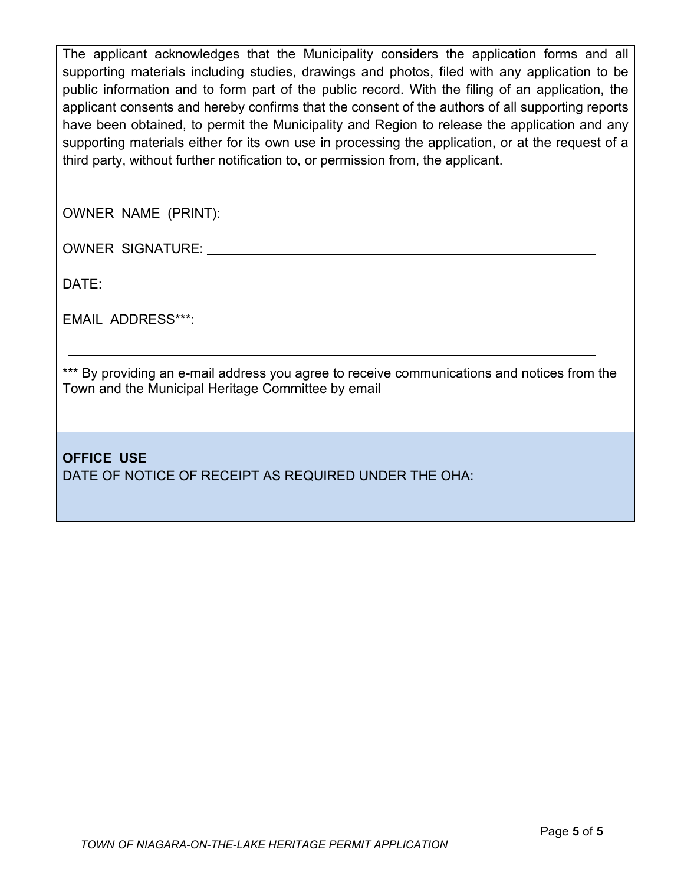The applicant acknowledges that the Municipality considers the application forms and all supporting materials including studies, drawings and photos, filed with any application to be public information and to form part of the public record. With the filing of an application, the applicant consents and hereby confirms that the consent of the authors of all supporting reports have been obtained, to permit the Municipality and Region to release the application and any supporting materials either for its own use in processing the application, or at the request of a third party, without further notification to, or permission from, the applicant.

OWNER NAME (PRINT):

OWNER SIGNATURE:

DATE:

EMAIL ADDRESS\*\*\*:

\*\*\* By providing an e-mail address you agree to receive communications and notices from the Town and the Municipal Heritage Committee by email

**OFFICE USE** DATE OF NOTICE OF RECEIPT AS REQUIRED UNDER THE OHA: